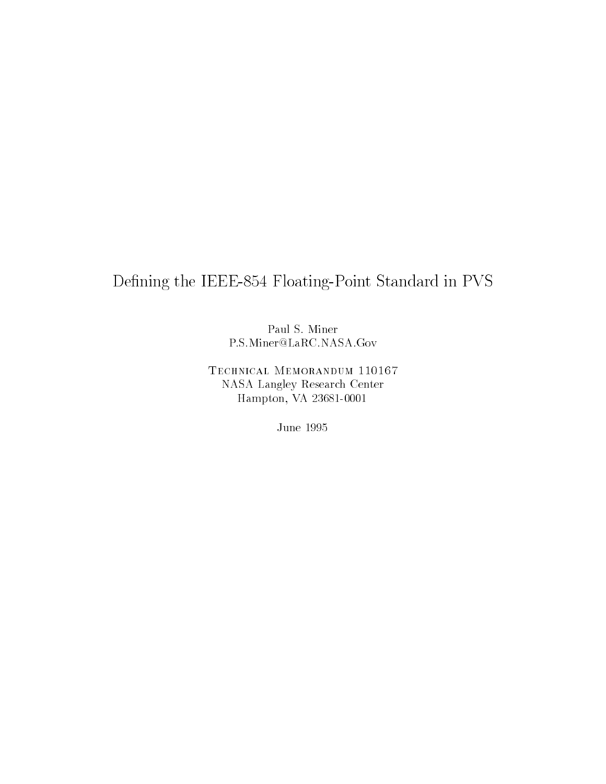# Defining the IEEE-854 Floating-Point Standard in PVS

Paul S. Miner P.S.Miner@LaRC.NASA.Gov

Technical Memorandum 110167 NASA Langley Research Center Hampton, VA 23681-0001

June 1995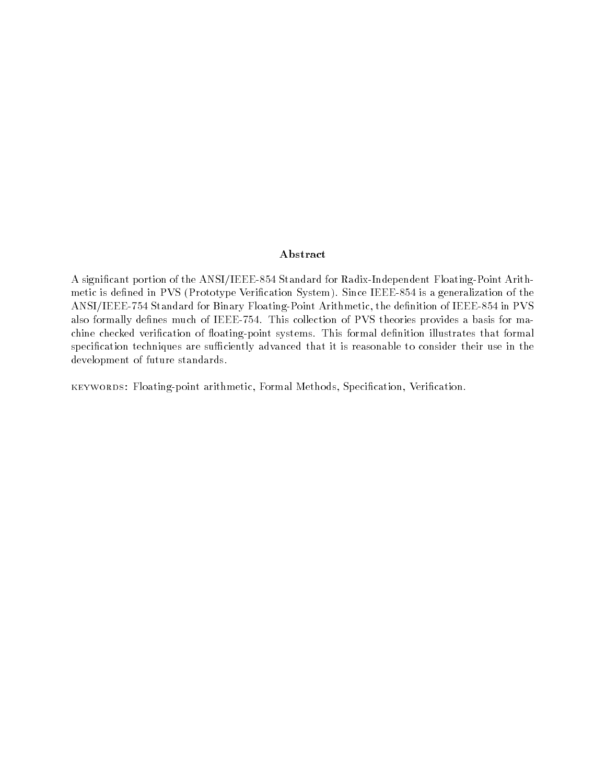### Abstract

A signicant portion of the ANSI/IEEE-854 Standard for Radix-Independent Floating-Point Arithmetic is defined in PVS (Prototype Verification System). Since IEEE-854 is a generalization of the ANSI/IEEE-754 Standard for Binary Floating-Point Arithmetic, the denition of IEEE-854 in PVS also formally defines much of IEEE-754. This collection of PVS theories provides a basis for machine checked verification of floating-point systems. This formal definition illustrates that formal specification techniques are sufficiently advanced that it is reasonable to consider their use in the development of future standards.

keywords: Floating-point arithmetic, Formal Methods, Specication, Verication.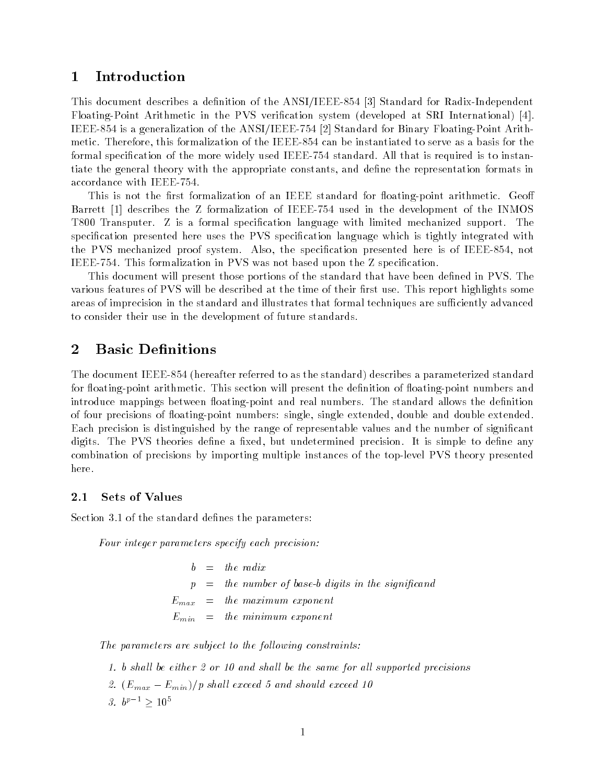# <sup>1</sup> Introduction

This document describes a definition of the ANSI/IEEE-854 [3] Standard for Radix-Independent Floating-Point Arithmetic in the PVS verication system (developed at SRI International) [4]. IEEE-854 is a generalization of the ANSI/IEEE-754 [2] Standard for Binary Floating-Point Arithmetic. Therefore, this formalization of the IEEE-854 can be instantiated to serve as a basis for the formal specification of the more widely used IEEE-754 standard. All that is required is to instantiate the general theory with the appropriate constants, and dene the representation formats in accordance with IEEE-754.

This is not the first formalization of an IEEE standard for floating-point arithmetic. Geoff Barrett [1] describes the Z formalization of IEEE-754 used in the development of the INMOS T800 Transputer. Z is a formal specication language with limited mechanized support. The specification presented here uses the PVS specification language which is tightly integrated with the PVS mechanized proof system. Also, the specification presented here is of IEEE-854, not IEEE-754. This formalization in PVS was not based upon the Z specication.

This document will present those portions of the standard that have been defined in PVS. The various features of PVS will be described at the time of their first use. This report highlights some areas of imprecision in the standard and illustrates that formal techniques are sufficiently advanced to consider their use in the development of future standards.

# 2 Basic Definitions

The document IEEE-854 (hereafter referred to as the standard) describes a parameterized standard for floating-point arithmetic. This section will present the definition of floating-point numbers and introduce mappings between floating-point and real numbers. The standard allows the definition of four precisions of floating-point numbers: single, single extended, double and double extended. Each precision is distinguished by the range of representable values and the number of signicant digits. The PVS theories define a fixed, but undetermined precision. It is simple to define any combination of precisions by importing multiple instances of the top-level PVS theory presented here.

### 2.1 Sets of Values

Section 3.1 of the standard defines the parameters:

Four integer parameters specify each precision:

 $p =$  the number of base-b digits in the significand  $E_{max}$  = the maximum exponent  $E_{min}$  = the minimum exponent

The parameters are subject to the following constraints:

1. b shall be either  $2$  or 10 and shall be the same for all supported precisions 2.  $(E_{max} - E_{min})/p$  shall exceed 5 and should exceed 10  $3.0^{r} > 10^{-7}$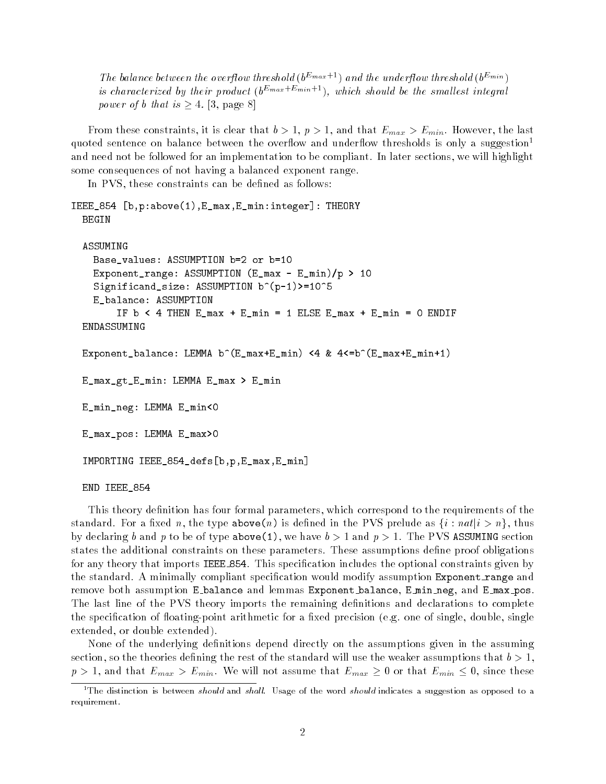The balance between the overflow threshold ( $b^{E_{max}+1}$ ) and the underflow threshold ( $b^{E_{min}}$ ) is characterized by their product  $(b^{E_{max}+E_{min}+1})$ , which should be the smallest integral power of b that is  $\geq 4$ . [3, page 8]

From these constraints, it is clear that  $b > 1$ ,  $p > 1$ , and that  $E_{max} > E_{min}$ . However, the last quoted sentence on balance between the overflow and underflow thresholds is only a suggestion<sup>1</sup> and need not be followed for an implementation to be compliant. In later sections, we will highlight some consequences of not having a balanced exponent range.

In PVS, these constraints can be defined as follows:

```
IEEE_854 [b,p:above(1),E_max,E_min:integer]: THEORY
 BEGIN
 ASSUMING
    Base_values: ASSUMPTION b=2 or b=10
    Exponent_range: ASSUMPTION (E_max - E_min)/p > 10
    Significand_size: ASSUMPTION b^(p-1)>=10^5
    E_balance: ASSUMPTION
        IF b < 4 THEN E_max + E_min = 1 ELSE E_max + E_min = 0 ENDIF
 ENDASSUMING
 Exponent_balance: LEMMA b^(E_max+E_min) <4 & 4<=b^(E_max+E_min+1)
 E_max_gt_E_min: LEMMA E_max > E_min
 E_min_neg: LEMMA E_min<0
 E_max_pos: LEMMA E_max>0
  IMPORTING IEEE_854_defs[b,p,E_max,E_min]
 END IEEE_854
```
This theory denition has four formal parameters, which correspond to the requirements of the standard. For a fixed n, the type above (n) is defined in the PVS prelude as  $\{i : n \in \mathbb{N}\}\$ , thus by declaring b and p to be of type above (1), we have  $b > 1$  and  $p > 1$ . The PVS ASSUMING section states the additional constraints on these parameters. These assumptions define proof obligations for any theory that imports IEEE\_854. This specification includes the optional constraints given by the standard. A minimally compliant specification would modify assumption Exponent range and remove both assumption <sup>E</sup> balance and lemmas Exponent balance, E min neg, and E max pos. The last line of the PVS theory imports the remaining definitions and declarations to complete the specification of floating-point arithmetic for a fixed precision (e.g. one of single, double, single extended, or double extended).

None of the underlying definitions depend directly on the assumptions given in the assuming section, so the theories defining the rest of the standard will use the weaker assumptions that  $b > 1$ ,  $p > 1$ , and that  $E_{max} > E_{min}$ . We will not assume that  $E_{max} \ge 0$  or that  $E_{min} \le 0$ , since these

<sup>&</sup>lt;sup>1</sup>The distinction is between *should* and *shall*. Usage of the word *should* indicates a suggestion as opposed to a requirement.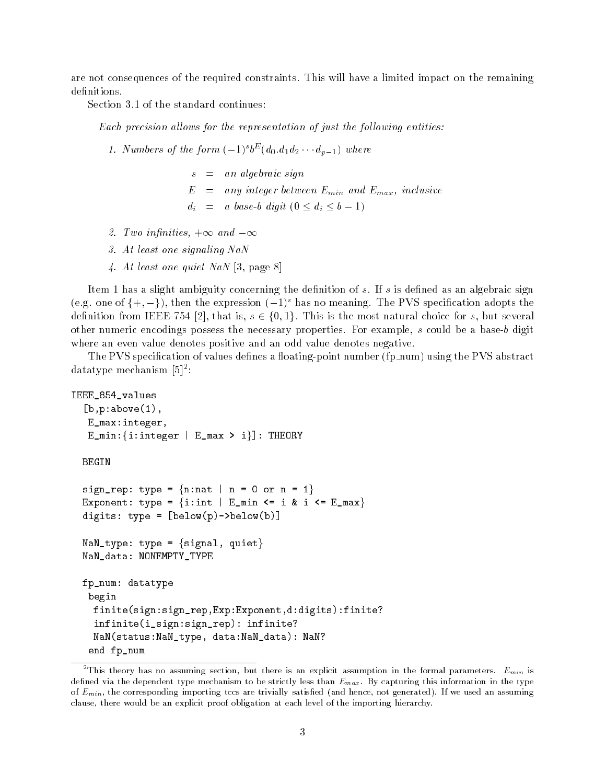are not consequences of the required constraints. This will have a limited impact on the remaining definitions.

Section 3.1 of the standard continues:

Each precision allows for the representation of just the following entities:

- 1. Numbers of the form  $(-1)^{s}$   $\sigma$   $(a_0.a_1a_2 \cdots a_{p-1})$  where
	- $s = an algebraic sign$  $E = any integer between E_{min} and E_{max}$ , inclusive  $d_i = a \ base-b \ digit (0 \leq d_i \leq b - 1)$
- 2. Two infinities,  $+\infty$  and  $-\infty$
- 3. At least one signaling NaN
- 4. At least one quiet NaN [3, page 8]

Item 1 has a slight ambiguity concerning the definition of  $s$ . If  $s$  is defined as an algebraic sign (e.g. one of  $\{+, -\}$ ), then the expression  $(-1)^s$  has no meaning. The PVS specification adopts the definition from IEEE-754 [2], that is,  $s \in \{0, 1\}$ . This is the most natural choice for s, but several other numeric encodings possess the necessary properties. For example, <sup>s</sup> could be a base-b digit where an even value denotes positive and an odd value denotes negative.

The PVS specification of values defines a floating-point number (fp\_num) using the PVS abstract datatype mechanism [5]<sup>2</sup> :

```
IEEE_854_values
  [b, p: above(1),E_max:integer,
   E_min:\{i:interger \mid E\_max > i\}]: THEORY
 BEGIN
  sign_rep: type = \{n:nat | n = 0 \text{ or } n = 1\}Exponent: type = {i:int | E_min <= i & i <= E_max}
  digits: type = [below(p)->below(b)]
 NaN_type: type = \{signal, quiet\}NaN_data: NONEMPTY_TYPE
 fp_num: datatype
   begin
    finite(sign:sign_rep,Exp:Exponent,d:digits):finite?
    infinite(i_sign:sign_rep): infinite?
    NaN(status:NaN_type, data:NaN_data): NaN?
   end fp_num
```
<sup>&</sup>lt;sup>2</sup>This theory has no assuming section, but there is an explicit assumption in the formal parameters.  $E_{min}$  is defined via the dependent type mechanism to be strictly less than  $E_{max}$ . By capturing this information in the type of  $E_{min}$ , the corresponding importing tccs are trivially satisfied (and hence, not generated). If we used an assuming clause, there would be an explicit proof obligation at each level of the importing hierarchy.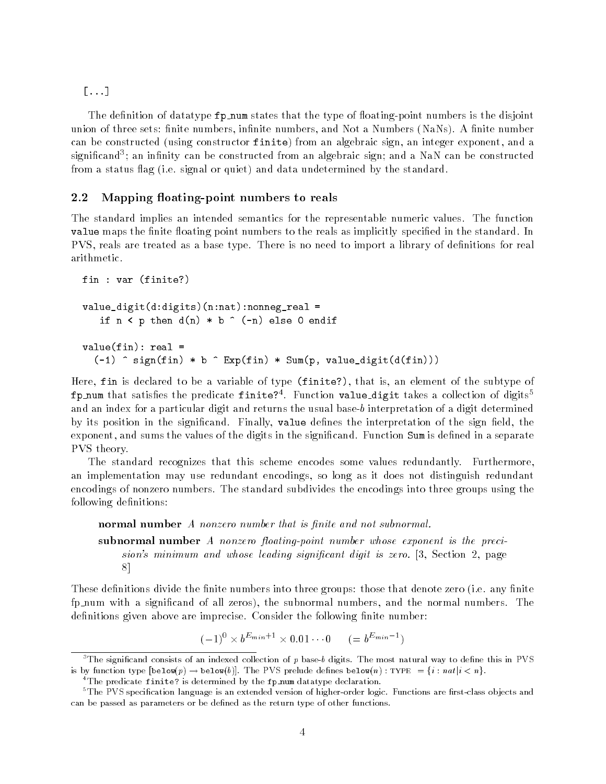[...]

The definition of datatype  $pp\_num$  states that the type of floating-point numbers is the disjoint union of three sets: finite numbers, infinite numbers, and Not a Numbers (NaNs). A finite number can be constructed (using constructor finite) from an algebraic sign, an integer exponent, and a significand"; an infinity can be constructed from an algebraic sign; and a NaN can be constructed from a status flag (i.e. signal or quiet) and data undetermined by the standard.

#### $2.2$ Mapping floating-point numbers to reals

The standard implies an intended semantics for the representable numeric values. The function value maps the finite floating point numbers to the reals as implicitly specified in the standard. In PVS, reals are treated as a base type. There is no need to import a library of definitions for real arithmetic.

```
fin: var (finite?)
final state \sqrt{1} . The state \frac{1}{2} , the state \frac{1}{2}value_digit(d:digits)(n:nat):nonneg_real =
    if n \leq p then d(n) * b \cap (-n) else 0 endif
value(fin): real =(-1) \hat{ } sign(fin) * b \hat{ } Exp(fin) * Sum(p, value_digit(d(fin)))
```
Here, fin is declared to be a variable of type (finite?), that is, an element of the subtype of rp\_num that satisfies the predicate rinite?". Function value\_digit takes a collection of digits and an index for a particular digit and returns the usual base-b interpretation of a digit determined by its position in the significand. Finally, value defines the interpretation of the sign field, the exponent, and sums the values of the digits in the significand. Function Sum is defined in a separate PVS theory.

The standard recognizes that this scheme encodes some values redundantly. Furthermore, an implementation may use redundant encodings, so long as it does not distinguish redundant encodings of nonzero numbers. The standard subdivides the encodings into three groups using the following definitions:

normal number A nonzero number that is finite and not subnormal.

subnormal number A nonzero floating-point number whose exponent is the precision's minimum and whose leading significant digit is zero. [3, Section 2, page 8]

These definitions divide the finite numbers into three groups: those that denote zero (i.e. any finite fp num with a signicand of all zeros), the subnormal numbers, and the normal numbers. The definitions given above are imprecise. Consider the following finite number:

 $(-1)^{3} \times b^{-m+n+1} \times 0.01 \cdots 0 \qquad (= b^{-m+n+1})$ 

 ${}^{3}$ The significand consists of an indexed collection of p base-b digits. The most natural way to define this in PVS is by function type  $[\text{below}(p) \rightarrow \text{below}(b)].$  The PVS prelude defines  $\text{below}(n)$ : TYPE =  $\{i : n \cdot a | i < n\}.$ 

<sup>&</sup>lt;sup>4</sup>The predicate finite? is determined by the fp\_num datatype declaration.

<sup>&</sup>lt;sup>5</sup>The PVS specification language is an extended version of higher-order logic. Functions are first-class objects and can be passed as parameters or be defined as the return type of other functions.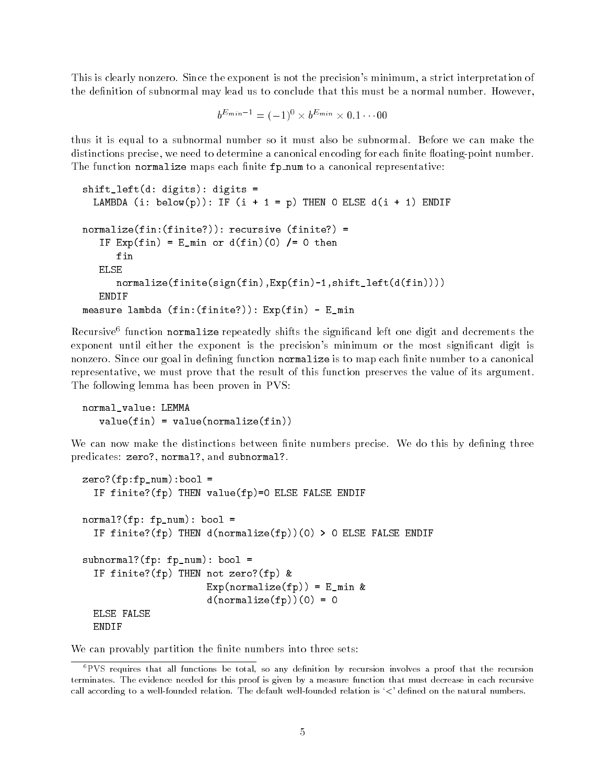This is clearly nonzero. Since the exponent is not the precision's minimum, a strict interpretation of the definition of subnormal may lead us to conclude that this must be a normal number. However,

$$
b^{E_{min}-1} = (-1)^0 \times b^{E_{min}} \times 0.1 \cdots 00
$$

thus it is equal to a subnormal number so it must also be subnormal. Before we can make the distinctions precise, we need to determine a canonical encoding for each finite floating-point number. The function normalize maps each finite  $fp\_num$  to a canonical representative:

```
shift_left(d: digits): digits =
  LAMBDA (i: below(p)): IF (i + 1 = p) THEN O ELSE d(i + 1) ENDIF
normalize(fin:(finite?)): recursive (finite?) =
   IF Exp(fin) = E,min or d(fin)(0) /= 0 then
      fin
   ELSE
      normalize(finite(sign(fin),Exp(fin)-1,shift_left(d(fin))))
   ENDIF
measure lambda (fin:(finite?)): Exp(fin) - E_min
```
Recursive tunction normalize repeatedly shifts the significand left one digit and decrements the exponent until either the exponent is the precision's minimum or the most significant digit is nonzero. Since our goal in defining function normalize is to map each finite number to a canonical representative, we must prove that the result of this function preserves the value of its argument. The following lemma has been proven in PVS:

```
normal_value: LEMMA
           value(fin) = value(normalize(fin))\mathcal{N} and \mathcal{N} and \mathcal{N} and \mathcal{N} and \mathcal{N} and \mathcal{N} and \mathcal{N} and \mathcal{N} and \mathcal{N} and \mathcal{N} and \mathcal{N} and \mathcal{N} and \mathcal{N} and \mathcal{N} and \mathcal{N} and \mathcal{N} and \mathcal{N} and
```
We can now make the distinctions between finite numbers precise. We do this by defining three predicates: zero?, normal?, and subnormal?.

```
zero?(fp:fp_num):bool =
  IF finite?(fp) THEN value(fp)=0 ELSE FALSE ENDIF
normal?(fp: fp_num): bool =
  IF finite?(fp) THEN d(normalize(fp))(0) > 0 ELSE FALSE ENDIF
subnormal?(fp: fp_num): bool =
  IF finite?(fp) THEN not zero?(fp) &
                      Exp(normalize(fp)) = E_{min} &
                      d(normalize(fp))(0) = 0ELSE FALSE
  ENDIF
```
We can provably partition the finite numbers into three sets:

<sup>&</sup>lt;sup>6</sup>PVS requires that all functions be total, so any definition by recursion involves a proof that the recursion terminates. The evidence needed for this proof is given by a measure function that must decrease in each recursive call according to a well-founded relation. The default well-founded relation is '<' defined on the natural numbers.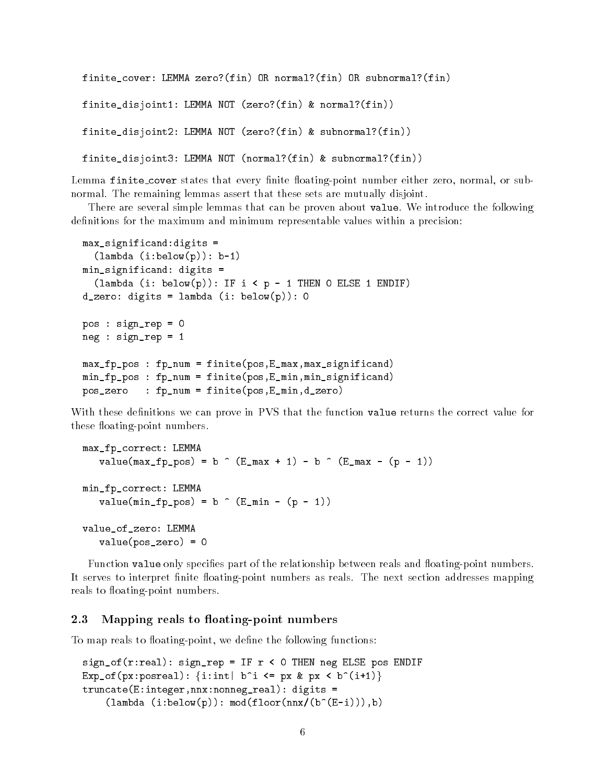```
finite_cover: LEMMA zero?(fin) OR normal?(fin) OR subnormal?(fin)
finite_disjoint1: LEMMA NOT (zero?(fin) & normal?(fin))
finite_disjoint2: LEMMA NOT (zero?(fin) & subnormal?(fin))
finite_disjoint3: LEMMA NOT (normal?(fin) & subnormal?(fin))
```
Lemma finite\_cover states that every finite floating-point number either zero, normal, or subnormal. The remaining lemmas assert that these sets are mutually disjoint.

There are several simple lemmas that can be proven about value. We introduce the following definitions for the maximum and minimum representable values within a precision:

```
max_significand:digits =
  (lambda (i:below(p)): b-1)
min_significand: digits =
  (lambda (i: below(p)): IF i < p - 1 THEN O ELSE 1 ENDIF)
d_zero: digits = lambda (i: below(p)): 0
pos : sign_rep = 0
neg : sign_rep = 1
max_fp_pos : fp_num = finite(pos,E_max,max_significand)
min_fp_pos : fp_num = finite(pos,E_min,min_significand)
pos_zero : fp_num = finite(pos,E_min,d_zero)
```
With these definitions we can prove in PVS that the function value returns the correct value for these floating-point numbers.

```
max_fp_correct: LEMMA
   value(max_fp_pos) = b \hat{ } (E_max + 1) - b \hat{ } (E_max - (p - 1))
min_fp_correct: LEMMA
   value(min_f_{p\_pos}) = b (E_min - (p - 1))
value_of_zero: LEMMA
   value(pos_zero) = 0
```
Function value only specifies part of the relationship between reals and floating-point numbers. It serves to interpret finite floating-point numbers as reals. The next section addresses mapping reals to floating-point numbers.

#### Mapping reals to floating-point numbers 2.3

To map reals to floating-point, we define the following functions:

```
sign_of(r:real): sign_rep = IF r < 0 THEN neg ELSE pos ENDIF
Exp_of(px:posreal): {i:int| b^i <= px & px < b^(i+1)}
truncate(E:integer,nnx:nonneg_real): digits =
    (lambda (i:below(p)):mod(floor(nnx/(b^(E-i))),b))
```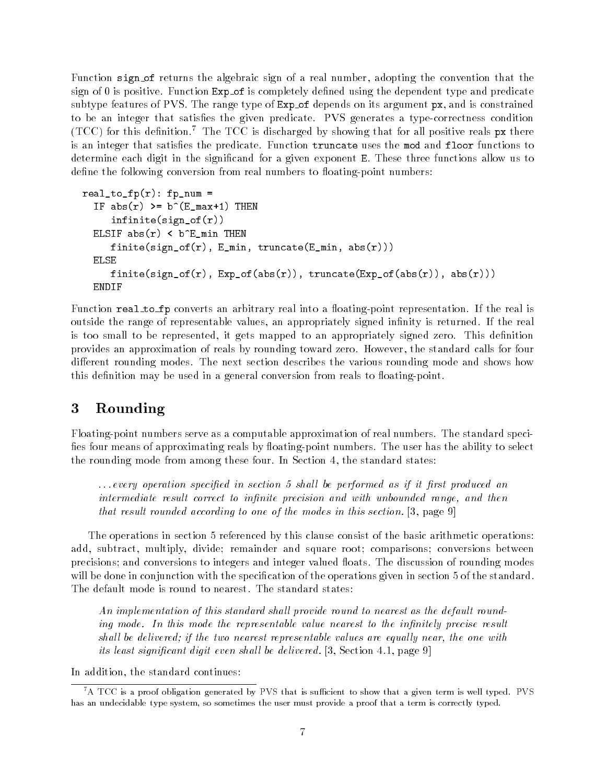Function sign of returns the algebraic sign of a real number, adopting the convention that the sign of 0 is positive. Function Exp\_of is completely defined using the dependent type and predicate subtype features of PVS. The range type of Exp of depends on its argument px, and is constrained to be an integer that satisfies the given predicate. PVS generates a type-correctness condition  $(TCC)$  for this definition.<sup>7</sup> The TCC is discharged by showing that for all positive reals  $\alpha$  there is an integer that satisfies the predicate. Function truncate uses the mod and floor functions to determine each digit in the signicand for a given exponent E. These three functions allow us to define the following conversion from real numbers to floating-point numbers:

```
real_to_fp(r): fp\_num =IF abs(r) >= b^(E_max+1) THEN
     infinite(sign_of(r))
  ELSIF abs(r) < b^E_min THEN
     finite(sign_of(r), E_{min}, truncate(E_{min}, abs(r)))
  ELSE
     finite(sign_of(r), Exp_of(abs(r)), truncate(Exp_of(abs(r)), abs(r)))
  ENDIF
```
Function real to fp converts an arbitrary real into a floating-point representation. If the real is outside the range of representable values, an appropriately signed infinity is returned. If the real is too small to be represented, it gets mapped to an appropriately signed zero. This definition provides an approximation of reals by rounding toward zero. However, the standard calls for four different rounding modes. The next section describes the various rounding mode and shows how this definition may be used in a general conversion from reals to floating-point.

# <sup>3</sup> Rounding

Floating-point numbers serve as a computable approximation of real numbers. The standard speci fies four means of approximating reals by floating-point numbers. The user has the ability to select the rounding mode from among these four. In Section 4, the standard states:

 $\ldots$  every operation specified in section 5 shall be performed as if it first produced an intermediate result correct to infinite precision and with unbounded range, and then that result rounded according to one of the modes in this section. [3, page 9]

The operations in section 5 referenced by this clause consist of the basic arithmetic operations: add, subtract, multiply, divide; remainder and square root; comparisons; conversions between precisions; and conversions to integers and integer valued floats. The discussion of rounding modes will be done in conjunction with the specification of the operations given in section 5 of the standard. The default mode is round to nearest. The standard states:

An implementation of this standard shall provide round to nearest as the default rounding mode. In this mode the representable value nearest to the infinitely precise result shall be delivered; if the two nearest representable values are equally near, the one with its least significant digit even shall be delivered.  $[3, Section 4.1, page 9]$ 

In addition, the standard continues:

 ${}^{7}$ A TCC is a proof obligation generated by PVS that is sufficient to show that a given term is well typed. PVS has an undecidable type system, so sometimes the user must provide a proof that a term is correctly typed.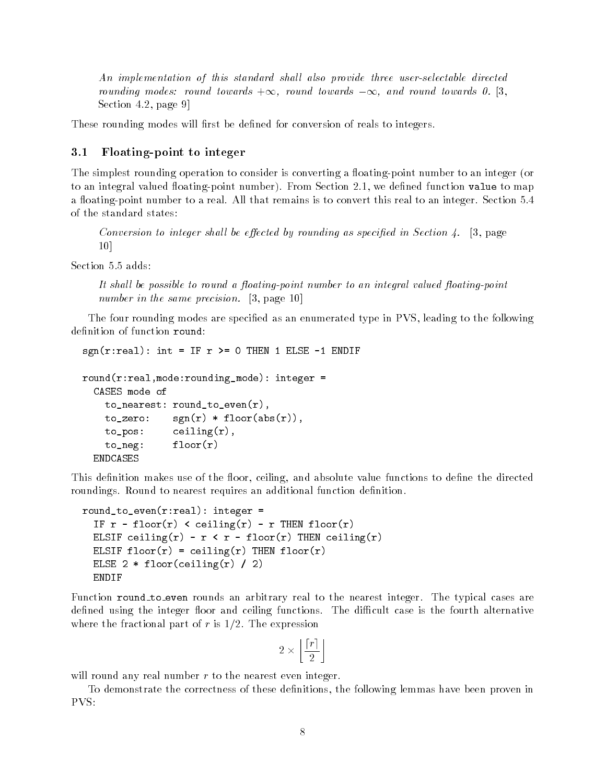An implementation of this standard shall also provide three user-selectable directed rounding modes: round towards  $+\infty$ , round towards  $-\infty$ , and round towards 0. [3, Section 4.2, page 9]

These rounding modes will first be defined for conversion of reals to integers.

### 3.1 Floating-point to integer

The simplest rounding operation to consider is converting a floating-point number to an integer (or to an integral valued floating-point number). From Section 2.1, we defined function value to map a floating-point number to a real. All that remains is to convert this real to an integer. Section 5.4 of the standard states:

Conversion to integer shall be effected by rounding as specified in Section 4. [3, page 10]

Section 5.5 adds:

It shall be possible to round a floating-point number to an integral valued floating-point number in the same precision. [3, page 10]

The four rounding modes are specified as an enumerated type in PVS, leading to the following definition of function round:

```
sgn(r:real): int = IF r >= 0 THEN 1 ELSE -1 ENDIF
```

```
round(r:real,mode:rounding_mode): integer =
  CASES mode of
    to_nearest: round_to_even(r),
    to\_zero: sgn(r) * floor(abs(r)),to_pos: ceiling(r),
    to_neg: floor(r)
  ENDCASES
```
This definition makes use of the floor, ceiling, and absolute value functions to define the directed roundings. Round to nearest requires an additional function definition.

```
round_to_even(r:real): integer =
  IF r - floor(r) < ceiling(r) - r THEN floor(r)
  ELSIF ceiling(r) - r < r - floor(r) THEN ceiling(r)
  ELSIF floor(r) = ceiling(r) THEN floor(r)
  ELSE 2 * floor(ceiling(r) / 2)
  ENDIF
```
Function round to even rounds an arbitrary real to the nearest integer. The typical cases are defined using the integer floor and ceiling functions. The difficult case is the fourth alternative where the fractional part of  $r$  is  $1/2$ . The expression

$$
2 \times \left\lfloor \frac{|r|}{2} \right\rfloor
$$

will round any real number  $r$  to the nearest even integer.

To demonstrate the correctness of these definitions, the following lemmas have been proven in PVS: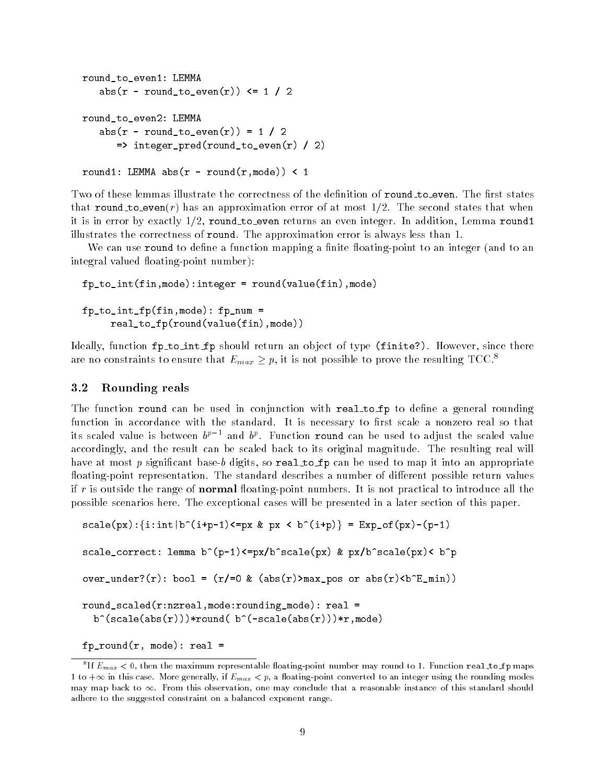```
round_to_even1: LEMMA
   abs(r - round_to_even(r)) <= 1 / 2
round_to_even2: LEMMA
   abs(r - round_to_even(r)) = 1 / 2=> integer_pred(round_to_even(r) / 2)
```

```
round1: LEMMA abs(r - round(r, mode)) < 1
```
Two of these lemmas illustrate the correctness of the definition of round\_to\_even. The first states that round to even(r) has an approximation error of at most  $1/2$ . The second states that when it is in error by exactly  $1/2$ , round to even returns an even integer. In addition, Lemma round1 illustrates the correctness of round. The approximation error is always less than 1.

We can use **round** to define a function mapping a finite floating-point to an integer (and to an integral valued floating-point number):

fp\_to\_int(fin,mode):integer = round(value(fin),mode) fp\_to\_int\_fp(fin,mode): fp\_num = real\_to\_fp(round(value(fin),mode))

Ideally, function fp to int fp should return an ob ject of type (finite?). However, since there are no constraints to ensure that  $E_{max} \geq p$ , it is not possible to prove the resulting TCC.<sup>8</sup>

#### 3.2 Rounding reals

The function round can be used in conjunction with real to fp to define a general rounding function in accordance with the standard. It is necessary to first scale a nonzero real so that its scaled value is between  $b^{p}$  - and  $b^{p}$ . Function **round** can be used to adjust the scaled value accordingly, and the result can be scaled back to its original magnitude. The resulting real will have at most  $p$  significant base-b digits, so real to fp can be used to map it into an appropriate floating-point representation. The standard describes a number of different possible return values if r is outside the range of **normal** floating-point numbers. It is not practical to introduce all the possible scenarios here. The exceptional cases will be presented in a later section of this paper.

```
scale(px):\{i:int|b^-(i+p-1)<=px \&px < b^-(i+p)\}=Exp_of(px)-(p-1)scale_correct: lemma b^(p-1)<=px/b^scale(px) & px/b^scale(px)< b^p
over_under?(r): bool = (r)=0 & (abs(r) > max_{pos} or abs(r) < b^E_{min})round_scaled(r:nzreal,mode:rounding_mode): real =
  b^{\hat{ }}(scale(abs(r)))*round( b^{\hat{ }}(-scale(abs(r)))*r,mode)
```

```
fp-round(r, mode): real =
```
If  $E_{max}$   $<$  0, then the maximum representable hoating-point number may round to 1. Function real\_to\_ip maps  $\,$ 1 to  $+\infty$  in this case. More generally, if  $E_{max} < p$ , a floating-point converted to an integer using the rounding modes may map back to  $\infty$ . From this observation, one may conclude that a reasonable instance of this standard should adhere to the suggested constraint on a balanced exponent range.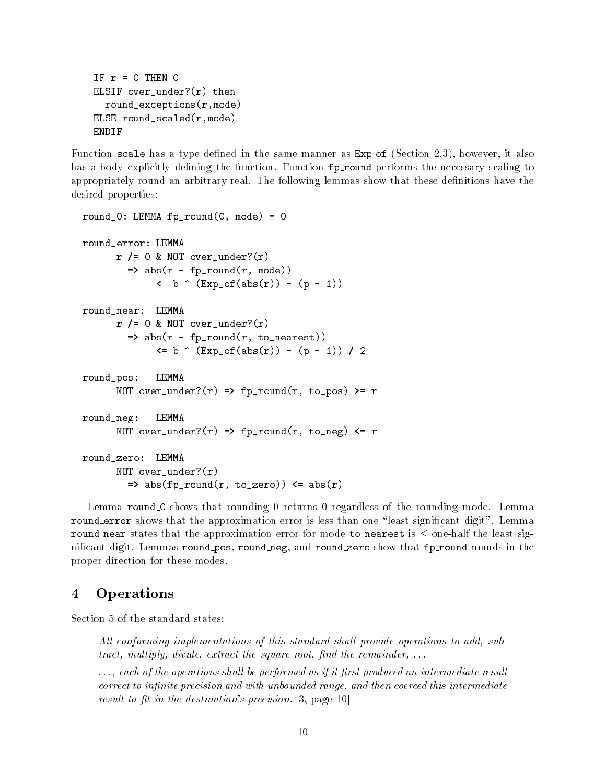```
IF r = 0 THEN 0ELSIF over_under?(r) then
  round_exceptions(r,mode)
ELSE round_scaled(r,mode)
ENDIF
```
Function scale has a type defined in the same manner as  $Exp_of$  (Section 2.3), however, it also has a body explicitly defining the function. Function fp\_round performs the necessary scaling to appropriately round an arbitrary real. The following lemmas show that these definitions have the desired properties:

```
round 0: LEMMA fp_round(0, \text{mode}) = 0round_error: LEMMA
      r /= 0 & NOT over_under?(r)
         \Rightarrow abs(r - fp_{\text{1}}round(r, mode))
               \left( b \hat{ } (Exp_of(abs(r)) - (p - 1))
round_near: LEMMA
      r /= 0 & NOT over_under? (r)\Rightarrow abs(r - fp_round(r, to_nearest))
               \leq b \cap (Exp_of(abs(r)) - (p - 1)) / 2round_pos: LEMMA
      NOT over_under?(r) => fp_round(r, to_pos) >= r
round_neg: LEMMA
       NOT over_under?(r) => fp_round(r, to_neg) \leq rround_zero: LEMMA
      NOT over_under?(r)
         \Rightarrow abs(fp_round(r, to_zero)) \leq abs(r)
```
Lemma round 0 shows that rounding 0 returns 0 regardless of the rounding mode. Lemma round error shows that the approximation error is less than one "least significant digit". Lemma round near states that the approximation error for mode to nearest is  $\leq$  one-half the least significant digit. Lemmas round pos, round neg, and round zero show that fp round rounds in the proper direction for these modes.

# <sup>4</sup> Operations

Section 5 of the standard states:

All conforming implementations of this standard shall provide operations to add, subtract, multiply, divide, extract the square root, find the remainder,  $\dots$ 

..., each of the operations shall be performed as if it first produced an intermediate result  $correct\ to\ infinite\ precision\ and\ with\ unbounded\ range,\ and\ then\ covered\ this\ intermediate$ result to fit in the destination's precision.  $[3, \text{ page } 10]$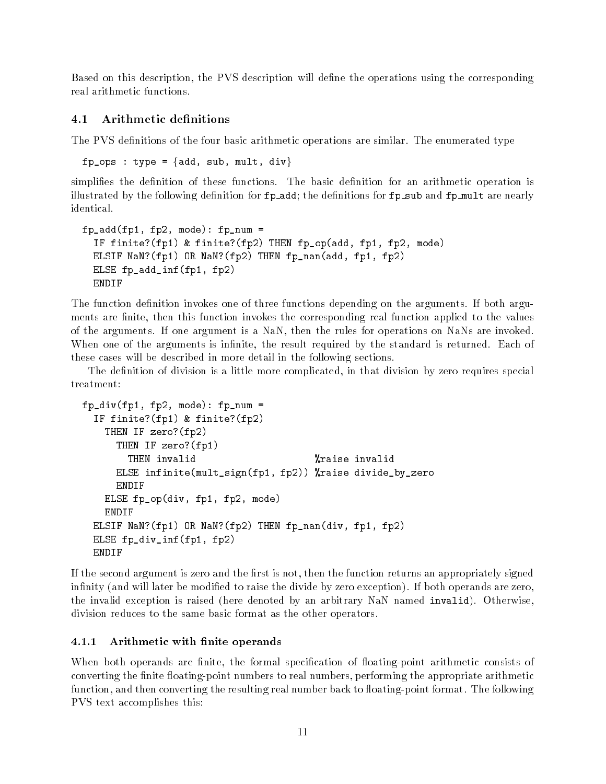Based on this description, the PVS description will define the operations using the corresponding real arithmetic functions.

#### Arithmetic definitions  $4.1$

The PVS definitions of the four basic arithmetic operations are similar. The enumerated type

fp\_ops : type = {add, sub, mult, div}

simplifies the definition of these functions. The basic definition for an arithmetic operation is illustrated by the following definition for  $fp\_add$ ; the definitions for  $fp\_sub$  and  $fp\_mult$  are nearly identical.

```
fp_add(fp1, fp2, mode): fp_num =
  IF finite?(fp1) & finite?(fp2) THEN fp_op(add, fp1, fp2, mode)
  ELSIF NaN?(fp1) OR NaN?(fp2) THEN fp_nan(add, fp1, fp2)
  ELSE fp_add_inf(fp1, fp2)
  ENDIF
```
The function definition invokes one of three functions depending on the arguments. If both arguments are finite, then this function invokes the corresponding real function applied to the values of the arguments. If one argument is a NaN, then the rules for operations on NaNs are invoked. When one of the arguments is infinite, the result required by the standard is returned. Each of these cases will be described in more detail in the following sections.

The definition of division is a little more complicated, in that division by zero requires special treatment:

```
fp_div(fp1, fp2, mode): fp_num =
    IF finite?(fp1) & finite?(fp2)
         THEN IF zero?(fp2)
             THEN IF zero?(fp1)
                 THEN invalid \gamma<sup>2</sup> and \gamma<sup>2</sup> and \gamma<sup>2</sup> and \gamma<sup>2</sup> and \gamma<sup>2</sup> and \gamma<sup>2</sup> and \gamma<sup>2</sup> and \gamma<sup>2</sup> and \gamma<sup>2</sup> and \gamma<sup>2</sup> and \gamma<sup>2</sup> and \gamma<sup>2</sup> and \gamma<sup>2</sup> and \gamma<sup>2</sup> and \gamma<sup>2</sup> and \gamma<sup>2</sup> and \gamma<sup>2</sup> and \gamma<sup></sup>
             ELSE infinite(mult_sign(fp1, fp2)) %raise divide_by_zero
             ENDIF
        ELSE fp_op(div, fp1, fp2, mode)
        ENDIF
    ELSIF NaN?(fp1) OR NaN?(fp2) THEN fp_nan(div, fp1, fp2)
    ELSE fp_div_inf(fp1, fp2)
```
If the second argument is zero and the first is not, then the function returns an appropriately signed infinity (and will later be modified to raise the divide by zero exception). If both operands are zero, the invalid exception is raised (here denoted by an arbitrary NaN named invalid). Otherwise, division reduces to the same basic format as the other operators.

### 4.1.1 Arithmetic with finite operands

When both operands are finite, the formal specification of floating-point arithmetic consists of converting the finite floating-point numbers to real numbers, performing the appropriate arithmetic function, and then converting the resulting real number back to floating-point format. The following PVS text accomplishes this: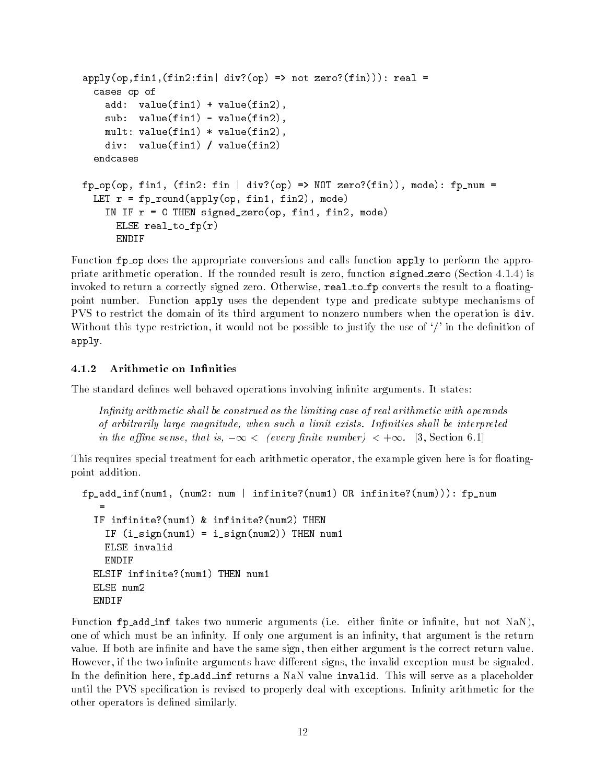```
apply(op, fin1, (fin2:fin| div? (op) => not zero? (fin)): real =
  cases op of
    add: value(fin1) + value(fin2),
    sub: value(fin1) - value(fin2),
    mult: value(fin1) * value(fin2),
    div: value(fin1) / value(fin2)
  endcases
fp\_op(op, fin1, (fin2: fin | div?(op) => NOT zero?(fin)), mode): fp_numberLET r = fp_{\text{round}(\text{apply}(\text{op}, \text{fin1}, \text{fin2}), \text{mode})IN IF r = 0 THEN signed_zero(op, fin1, fin2, mode)
      ELSE real_to_fp(r)ENDIF
```
Function  $fp$  op does the appropriate conversions and calls function apply to perform the appropriate arithmetic operation. If the rounded result is zero, function signed zero (Section 4.1.4) is invoked to return a correctly signed zero. Otherwise, real to fp converts the result to a floatingpoint number. Function apply uses the dependent type and predicate subtype mechanisms of PVS to restrict the domain of its third argument to nonzero numbers when the operation is div. Without this type restriction, it would not be possible to justify the use of  $\prime$  in the definition of apply.

#### 4.1.2 Arithmetic on Infinities

The standard defines well behaved operations involving infinite arguments. It states:

Infinity arithmetic shall be construed as the limiting case of real arithmetic with operands of arbitrarily large magnitude, when such a limit exists. Infinities shall be interpreted in the affine sense, that is,  $-\infty <$  (every finite number)  $\lt +\infty$ . [3, Section 6.1]

This requires special treatment for each arithmetic operator, the example given here is for floatingpoint addition.

```
fp_add_inf(num1, (num2: num | infinite?(num1) OR infinite?(num))): fp_num
  IF infinite?(num1) & infinite?(num2) THEN
    IF (i_sign(num1) = i_sign(num2)) THEN num1
    ELSE invalid
    ENDIF
  ELSIF infinite?(num1) THEN num1
  ELSE num2
  ENDIF
```
Function fp\_add\_inf takes two numeric arguments (i.e. either finite or infinite, but not NaN), one of which must be an infinity. If only one argument is an infinity, that argument is the return value. If both are infinite and have the same sign, then either argument is the correct return value. However, if the two infinite arguments have different signs, the invalid exception must be signaled. In the definition here, fp add inf returns a NaN value invalid. This will serve as a placeholder until the PVS specification is revised to properly deal with exceptions. Infinity arithmetic for the other operators is defined similarly.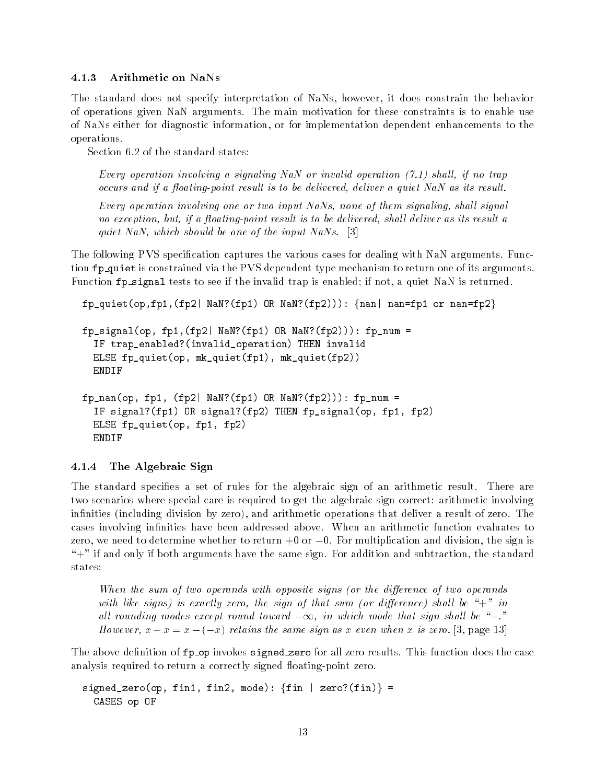#### 4.1.3 Arithmetic on NaNs

The standard does not specify interpretation of NaNs, however, it does constrain the behavior of operations given NaN arguments. The main motivation for these constraints is to enable use of NaNs either for diagnostic information, or for implementation dependent enhancements to the operations.

Section 6.2 of the standard states:

Every operation involving a signaling NaN or invalid operation  $(7.1)$  shall, if no trap occurs and if a floating-point result is to be delivered, deliver a quiet NaN as its result.

Every operation involving one or two input NaNs, none of them signaling, shall signal no exception, but, if a floating-point result is to be delivered, shall deliver as its result a quiet NaN, which should be one of the input NaNs. [3]

The following PVS specication captures the various cases for dealing with NaN arguments. Function fp quiet is constrained via the PVS dependent type mechanism to return one of its arguments. Function fp\_signal tests to see if the invalid trap is enabled; if not, a quiet NaN is returned.

```
fp_quiet(op,fp1,(fp2| NaN?(fp1) OR NaN?(fp2))): {nan| nan=fp1 or nan=fp2}
fp\_signal(op, fp1, (fp2| <i>NaN</i>?(fp1) <i>OR NaN</i>?(fp2))) : fp\_num =IF trap_enabled?(invalid_operation) THEN invalid
  ELSE fp_quiet(op, mk_quiet(fp1), mk_quiet(fp2))
  ENDIF
fp\_nan(op, fp1, (fp2| NaN?(fp1) OR NaN?(fp2))): fp\_num =IF signal?(fp1) OR signal?(fp2) THEN fp_signal(op, fp1, fp2)
  ELSE fp_quiet(op, fp1, fp2)
  ENDIF
```
#### 4.1.4 The Algebraic Sign

The standard specifies a set of rules for the algebraic sign of an arithmetic result. There are two scenarios where special care is required to get the algebraic sign correct: arithmetic involving infinities (including division by zero), and arithmetic operations that deliver a result of zero. The cases involving infinities have been addressed above. When an arithmetic function evaluates to zero, we need to determine whether to return  $+0$  or  $-0$ . For multiplication and division, the sign is "+" if and only if both arguments have the same sign. For addition and subtraction, the standard states:

When the sum of two operands with opposite signs (or the difference of two operands with like signs) is exactly zero, the sign of that sum (or difference) shall be "+" in all rounding modes except round toward  $-\infty$ , in which mode that sign shall be "-." However,  $x + x = x - (-x)$  retains the same sign as x even when x is zero. [3, page 13]

The above definition of  $fp$  op invokes signed zero for all zero results. This function does the case analysis required to return a correctly signed floating-point zero.

```
signed_zero(op, fin1, fin2, mode): \{fin | zero?(fin)\} =CASES op OF
```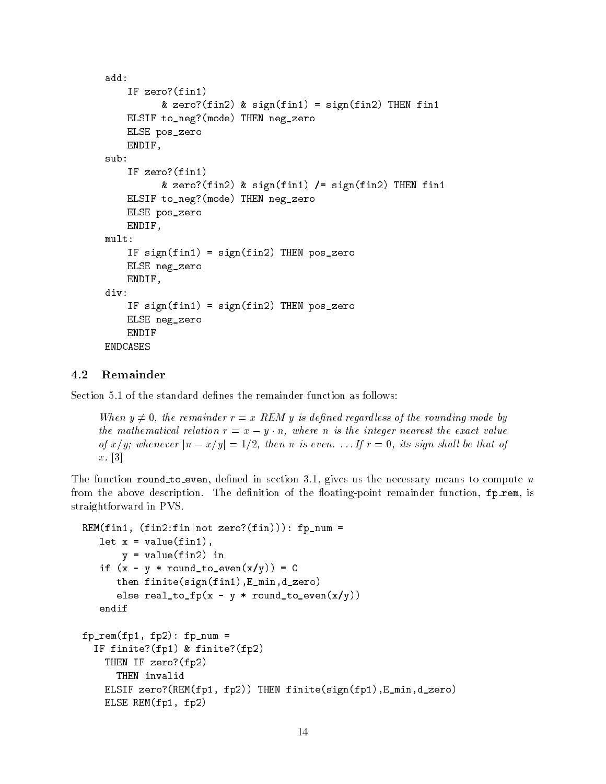```
IF zero?(fin1)
           & zero?(fin2) & sign(fin1) = sign(fin2) THEN fin1
    ELSIF to_neg?(mode) THEN neg_zero
    ELSE pos_zero
    ENDIF,
sub:
    IF zero?(fin1)
    If \mathcal{I} is a set of \mathcal{I} is a set of \mathcal{I}& zero?(fin2) & sign(fin1) /= sign(fin2) THEN fin1
    ELSIF to_neg?(mode) THEN neg_zero
    ELSE pos_zero
    ENDIF.
    ENDIF,
mult:
    IF sign(fin1) = sign(fin2) THEN pos\_zeroELSE neg_zero
    ENDIF,
div:
    IF sign(fin1) = sign(fin2) THEN pos_zero
    ELSE neg_zero
    ENDIF
ENDCASES
```
### 4.2 Remainder

Section 5.1 of the standard defines the remainder function as follows:

When  $y \neq 0$ , the remainder  $r = x$  REM y is defined regardless of the rounding mode by the mathematical relation  $r = x - y \cdot n$ , where n is the integer nearest the exact value of  $x/y$ ; whenever  $|n - x/y| = 1/2$ , then n is even. ... If  $r = 0$ , its sign shall be that of  $x$ . [3]

The function round to even, defined in section 3.1, gives us the necessary means to compute  $n$ from the above description. The definition of the floating-point remainder function,  $fp$  rem, is straightforward in PVS.

```
REM(fin1, (fin2:fin|not zero?(fin))): fp_num =
   let x = value(fin1),
       y = value(fin2) in
   if (x - y * round_to_even(x/y)) = 0then finite(sign(fin1),E_min,d_zero)
      else real_to_fp(x - y * round_to_even(x/y))
   endif
fp<sub>r</sub>em(fp1, fp2): fp_num =
  IF finite?(fp1) & finite?(fp2)
    THEN IF zero?(fp2)
      THEN invalid
    ELSIF zero?(REM(fp1, fp2)) THEN finite(sign(fp1),E_min,d_zero)
    ELSE REM(fp1, fp2)
```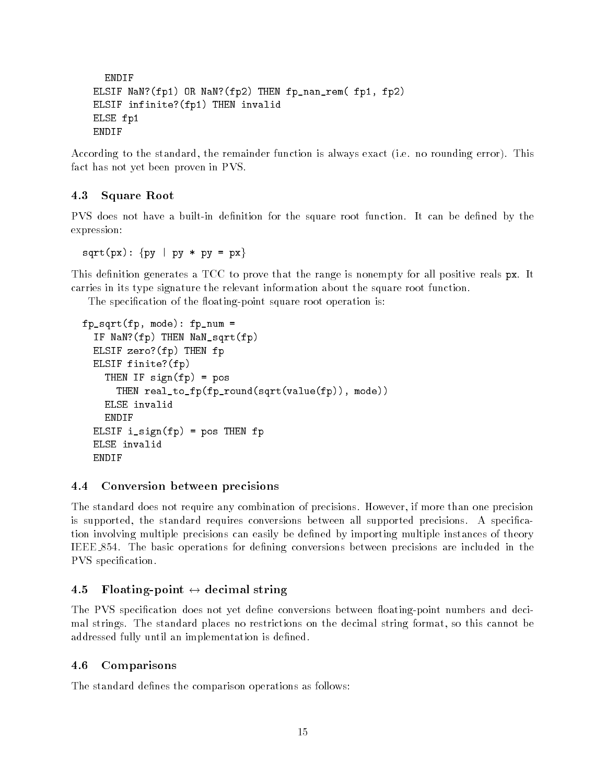```
ENDIF
ELSIF NaN?(fp1) OR NaN?(fp2) THEN fp_nan_rem( fp1, fp2)
ELSIF infinite?(fp1) THEN invalid
ELSE fp1
ENDIF
```
According to the standard, the remainder function is always exact (i.e. no rounding error). This fact has not yet been proven in PVS.

### 4.3 Square Root

PVS does not have a built-in definition for the square root function. It can be defined by the expression:

 $sqrt(px):$  {py | py \* py = px}

This definition generates a TCC to prove that the range is nonempty for all positive reals px. It carries in its type signature the relevant information about the square root function.

The specification of the floating-point square root operation is:

```
fp_sqrt(fp, mode): fp_num =
  IF NaN?(fp) THEN NaN_sqrt(fp)
  ELSIF zero?(fp) THEN fp
  ELSIF finite?(fp)
    THEN IF sign(fp) = posTHEN real_to_fp(fp_round(sqrt(value(fp)), mode))
    ELSE invalid
    ENDIF
  ELSIF i<sub>sign</sub>(fp) = pos THEN fp
  ELSE invalid
  ENDIF
```
#### $4.4$ Conversion between precisions

The standard does not require any combination of precisions. However, if more than one precision is supported, the standard requires conversions between all supported precisions. A specication involving multiple precisions can easily be dened by importing multiple instances of theory IEEE 854. The basic operations for defining conversions between precisions are included in the PVS specification.

#### Floating-point  $\leftrightarrow$  decimal string  $4.5$

The PVS specification does not yet define conversions between floating-point numbers and decimal strings. The standard places no restrictions on the decimal string format, so this cannot be addressed fully until an implementation is defined.

#### 4.6 Comparisons

The standard defines the comparison operations as follows: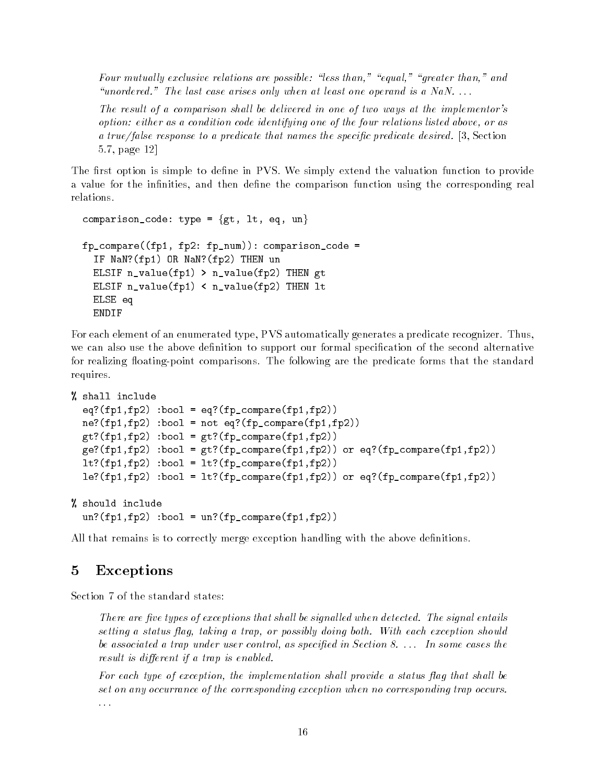Four mutually exclusive relations are possible: "less than," "equal," "greater than," and "unordered." The last case arises only when at least one operand is a NaN.  $\dots$ 

The result of a comparison shall be delivered in one of two ways at the implementor's option: either as a condition code identifying one of the four relations listed above, or as a true/false response to a predicate that names the specific predicate desired. [3, Section 5.7, page 12]

The first option is simple to define in PVS. We simply extend the valuation function to provide a value for the infinities, and then define the comparison function using the corresponding real relations.

```
comparison_code: type = \{gt, \text{lt}, \text{eq}, \text{un}\}fp_compare((fp1, fp2: fp_num)): comparison_code =
  IF NaN?(fp1) OR NaN?(fp2) THEN un
  ELSIF n_value(fp1) > n_value(fp2) THEN gt
  ELSIF n_value(fp1) < n_value(fp2) THEN lt
  ELSE eq
  ENDIF
```
For each element of an enumerated type, PVS automatically generates a predicate recognizer. Thus, we can also use the above definition to support our formal specification of the second alternative for realizing floating-point comparisons. The following are the predicate forms that the standard requires.

```
% shall include
```

```
eq?(fp1,fp2) :bool = eq?(fpjcompare(fp1,fp2))ne?(fp1,fp2) :bool = not eq?(fp_compare(fp1,fp2))
gt?(fp1,fp2) :bool = gt?(fp_compare(fp1,fp2))
ge?(fp1,fp2) :bool = gt?(fp_compare(fp1,fp2)) or eq?(fp_compare(fp1,fp2))
lt?(fp1,fp2) :bool = lt?(fp_compare(fp1,fp2))
le?(fp1,fp2) :bool = lt?(fp_compare(fp1,fp2)) or eq?(fp_compare(fp1,fp2))
```

```
% should include
  un?(fp1,fp2) :bool = un?(fp_compare(fp1,fp2))
```
All that remains is to correctly merge exception handling with the above definitions.

# <sup>5</sup> Exceptions

Section 7 of the standard states:

There are five types of exceptions that shall be signalled when detected. The signal entails setting a status flag, taking a trap, or possibly doing both. With each exception should be associated a trap under user control, as specified in Section 8. . . . In some cases the result is different if a trap is enabled.

For each type of exception, the implementation shall provide a status flag that shall be set on any occurrance of the corresponding exception when no corresponding trap occurs. . . .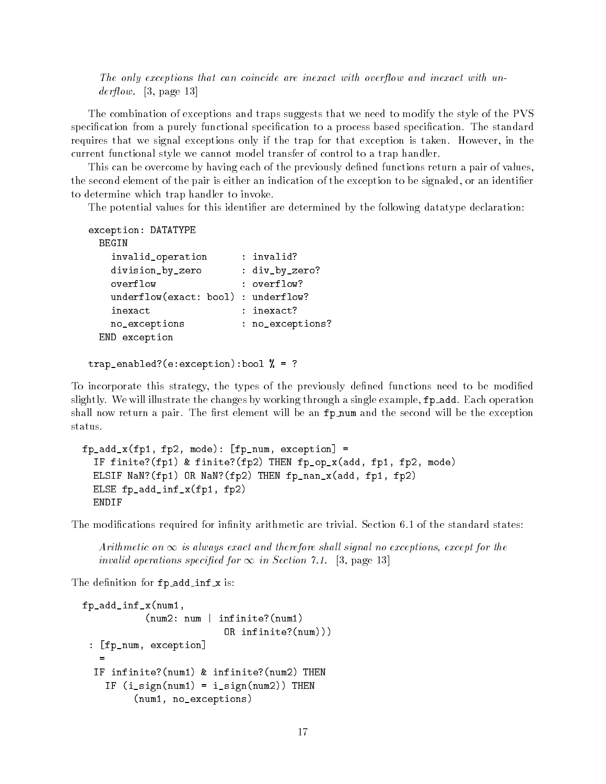The only exceptions that can coincide are inexact with overflow and inexact with un $derflow.$  [3, page 13]

The combination of exceptions and traps suggests that we need to modify the style of the PVS specification from a purely functional specification to a process based specification. The standard requires that we signal exceptions only if the trap for that exception is taken. However, in the current functional style we cannot model transfer of control to a trap handler.

This can be overcome by having each of the previously defined functions return a pair of values, the second element of the pair is either an indication of the exception to be signaled, or an identifier to determine which trap handler to invoke.

The potential values for this identifier are determined by the following datatype declaration:

```
exception: DATATYPE
 BEGIN
   invalid_operation : invalid?
   division_by_zero : div_by_zero?
   overflow : overflow?
   underflow(exact: bool) : underflow?
   inexact : inexact?
   no_exceptions : no_exceptions?
 END exception
```

```
trap_enabled?(e:exception):bool % = ?
```
To incorporate this strategy, the types of the previously defined functions need to be modified slightly. We will illustrate the changes by working through a single example,  $fp$ -add. Each operation shall now return a pair. The first element will be an fp\_num and the second will be the exception status.

```
fp\_add_x(fp1, fp2, mode): [fp\_num, exception] =IF finite?(fp1) & finite?(fp2) THEN fp_op_x(add, fp1, fp2, mode)
  ELSIF NaN?(fp1) OR NaN?(fp2) THEN fp_nan_x(add, fp1, fp2)
  ELSE fp_add_inf_x(fp1, fp2)
  ENDIF
```
The modifications required for infinity arithmetic are trivial. Section 6.1 of the standard states:

Arithmetic on  $\infty$  is always exact and therefore shall signal no exceptions, except for the invalid operations specified for  $\infty$  in Section 7.1. [3, page 13]

The definition for fp\_add\_inf\_x is:

```
fp_add_inf_x(num1,
           (num2: num | infinite?(num1)
                          OR infinite?(num)))
 : [fp_num, exception]
  IF infinite?(num1) & infinite?(num2) THEN
    IF (i_sign(num1) = i_sign(num2)) THEN
         (num1, no_exceptions)
```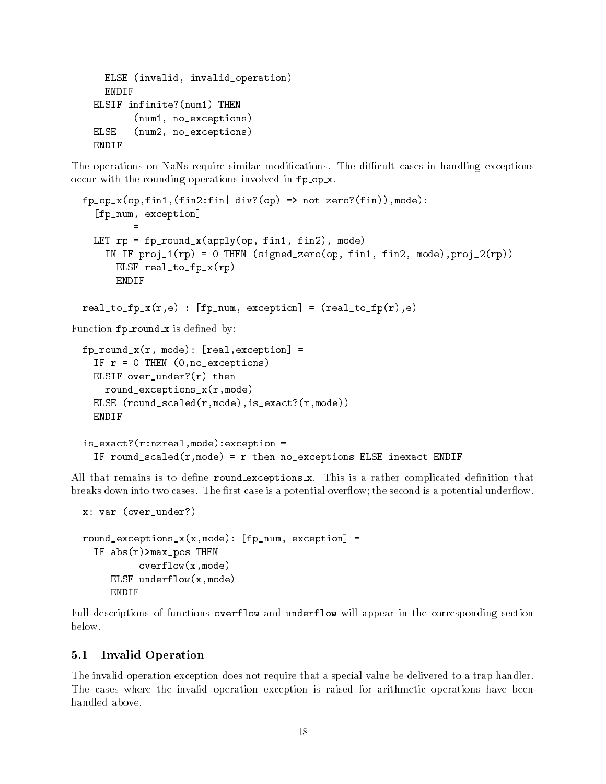```
ELSE (invalid, invalid_operation)
  ENDIF
ELSIF infinite?(num1) THEN
       (num1, no_exceptions)
ELSE (num2, no_exceptions)
ENDIF
```
The operations on NaNs require similar modifications. The difficult cases in handling exceptions occur with the rounding operations involved in fp op x.

```
fp\_op_x(op,fin1,(fin2:fin|div?(op) \Rightarrow not zero?(fin)),mode):
    [fp_num, exception]
    LET rp = fp\_round_x(apply(op, fin1, fin2), mode)IN IF proj_1(rp) = 0 THEN (signed_zero(op, fin1, fin2, mode),proj_2(rp))
        ELSE real_to_fp_x(rp)
        ENDIF
 real_to_fp_x(r,e) : [fp\_num, exception] = (real_to_fp(r),e)Function fp_round_x is defined by:
 fp_{\text{round_x}(r, mode)}: [real, exception] =
    IF r = 0 THEN (0, no\_exceptions)ELSIF over_under?(r) then
      round_exceptions_x(r,mode)
    ELSE (round_scaled(r,mode),is_exact?(r,mode))
    ENDIF
 is_exact?(r:nzreal,mode):exception =
    IF round_scaled(r,mode) = r then no_exceptions ELSE inexact ENDIF
```
All that remains is to define round exceptions x. This is a rather complicated definition that breaks down into two cases. The first case is a potential overflow; the second is a potential underflow.

```
x: var (over_under?)
round_exceptions_x(x, \text{mode}): [fp_num, exception] =
  IF abs(r)>max_pos THEN
           overflow(x,mode)
     ELSE underflow(x,mode)
     ENDIF
```
Full descriptions of functions overflow and underflow will appear in the corresponding section below.

#### 5.1 Invalid Operation  $5.1$

The invalid operation exception does not require that a special value be delivered to a trap handler. The cases where the invalid operation exception is raised for arithmetic operations have been handled above.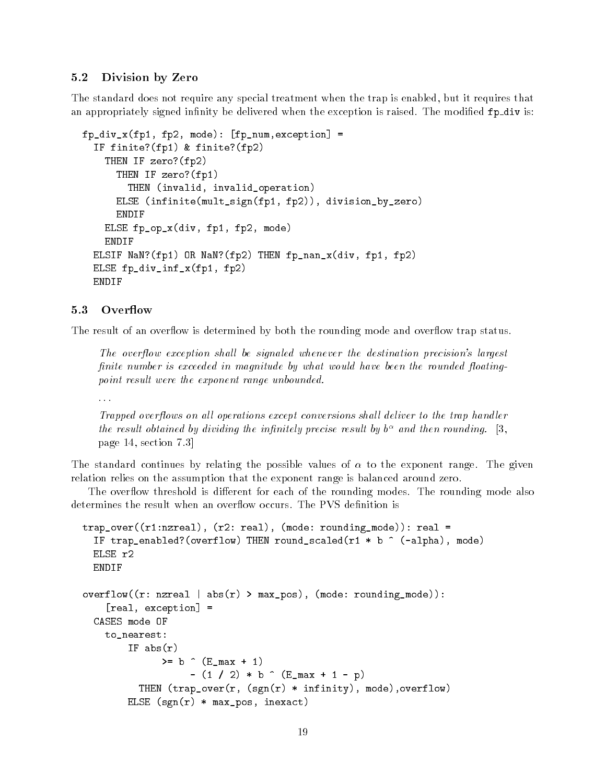#### 5.2 Division by Zero

The standard does not require any special treatment when the trap is enabled, but it requires that an appropriately signed infinity be delivered when the exception is raised. The modified fp\_div is:

```
fp_div_x(fp1, fp2, mode): [fp_num,exception] =
  IF finite?(fp1) & finite?(fp2)
    THEN IF zero?(fp2)
      THEN IF zero?(fp1)
        THEN (invalid, invalid_operation)
      ELSE (infinite(mult_sign(fp1, fp2)), division_by_zero)
      ENDIF
    ELSE fp_op_x(div, fp1, fp2, mode)
    ENDIF
  ELSIF NaN?(fp1) OR NaN?(fp2) THEN fp_nan_x(div, fp1, fp2)
  ELSE fp_div_inf_x(fp1, fp2)
  ENDIF
```
The result of an overflow is determined by both the rounding mode and overflow trap status.

The overflow exception shall be signaled whenever the destination precision's largest finite number is exceeded in magnitude by what would have been the rounded floatingpoint result were the exponent range unbounded.

. . .

Trapped overflows on all operations except conversions shall deliver to the trap handler the result obtained by arviaing the infinitely precise result by but and then rounding.  $\ket{3}$ , page 14, section 7.3]

The standard continues by relating the possible values of  $\alpha$  to the exponent range. The given relation relies on the assumption that the exponent range is balanced around zero.

The overflow threshold is different for each of the rounding modes. The rounding mode also determines the result when an overflow occurs. The PVS definition is

```
trap_over((r1:nzreal), (r2: real), (mode: rounding_mode)): real =
  IF trap_enabled?(overflow) THEN round_scaled(r1 * b \hat{ } (-alpha), mode)
  ELSE r2
  ENDIF
overflow((r: nzreal | abs(r) > max_pos), (mode: rounding_model)):
    [real, exception] =
  CASES mode OF
    to_nearest:
        IF abs(r)>= b ( E_{max} + 1)- (1 / 2) * b \hat{C} (E_max + 1 - p)
          THEN (trap_over(r, (sgn(r) * infinity), mode),overflow)
        ELSE (sgn(r) * max_pos, inexact)
```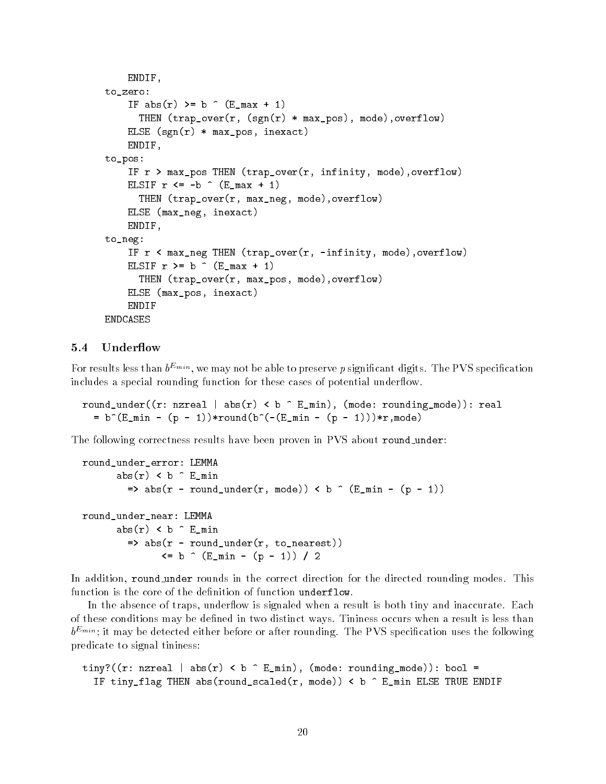```
ENDIF,
to_zero:
    IF abs(r) >= b \hat{C} (E_max + 1)
      THEN (trap\_over(r, (sgn(r) * max\_pos), mode), overflow)ELSE (sgn(r) * max_pos, inexact)ENDIF,
to_pos:
    IF r > max_pos THEN (trap_over(r, infinity, mode), overflow)
    ELSIF r \leq -b \quad (E_{max} + 1)THEN (trap_over(r, max_neg, mode),overflow)
    ELSE (max_neg, inexact)
    ENDIF,
to_neg:
    IF r < max_neg THEN (trap_over(r, -infinity, mode),overflow)
    ELSIF r >= b \hat{C} (E_max + 1)
      THEN (trap_over(r, max_pos, mode),overflow)
    ELSE (max_pos, inexact)
    ENDIF
```
### 5.4 Underflow

For results less than  $b^{E_{min}}$ , we may not be able to preserve p significant digits. The PVS specification includes a special rounding function for these cases of potential underflow.

round\_under((r: nzreal | abs(r) < b  $\hat{E}_{min}$ , (mode: rounding\_mode)): real =  $b^{(E_m in - (p - 1))*round(b^{(-E_m in - (p - 1)))*r,mode)}$ 

The following correctness results have been proven in PVS about round\_under:

```
round_under_error: LEMMA
       abs(r) < b \hat{E}_{min}=> abs(r - round_under(r, mode)) < b \hat{ } (E_min - (p - 1))
round_under_near: LEMMA
       abs(r) < b \hat{E}_{min}\Rightarrow abs(r - round_under(r, to_nearest))
                \leq b \hat{C} (E_min - (p - 1)) / 2
```
In addition, round under rounds in the correct direction for the directed rounding modes. This function is the core of the definition of function underflow.

In the absence of traps, underflow is signaled when a result is both tiny and inaccurate. Each of these conditions may be dened in two distinct ways. Tininess occurs when a result is less than  $b^{E_{min}}$ ; it may be detected either before or after rounding. The PVS specification uses the following predicate to signal tininess:

```
tiny?((r: nzreal | abs(r) < b \hat{E}_{min}, (mode: rounding_mode)): bool =
  IF tiny_flag THEN abs(round_scaled(r, mode)) < b \hat{E} E_min ELSE TRUE ENDIF
```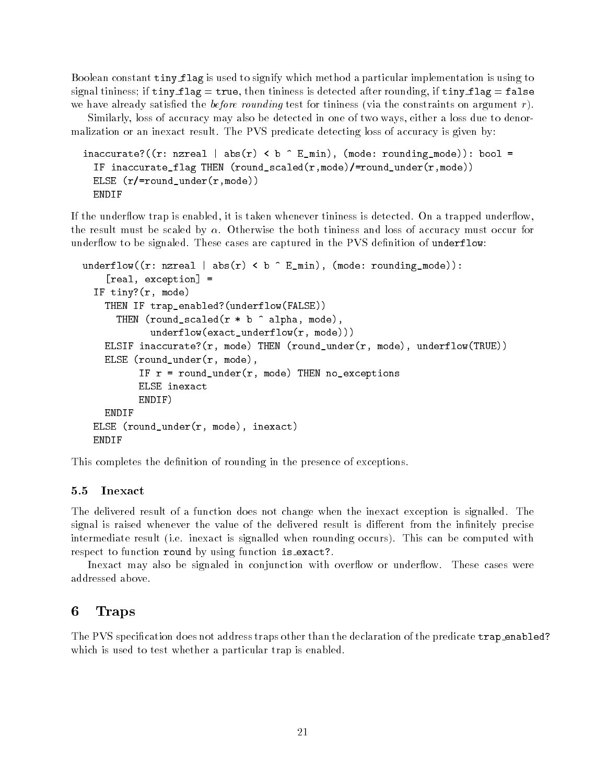Boolean constant tiny flag is used to signify which method a particular implementation is using to signal tininess; if  $tiny_f1ag = true$ , then tininess is detected after rounding, if  $tiny_f1ag = false$ we have already satisfied the *before rounding* test for tininess (via the constraints on argument  $r$ ).

Similarly, loss of accuracy may also be detected in one of two ways, either a loss due to denormalization or an inexact result. The PVS predicate detecting loss of accuracy is given by:

```
inaccurate?((r: nzreal | abs(r) < b \hat{E}_{min}, (mode: rounding_mode)): bool =
  IF inaccurate_flag THEN (round_scaled(r,mode)/=round_under(r,mode))
  ELSE (r/=round_under(r,mode))
  ENDIF
```
If the underflow trap is enabled, it is taken whenever tininess is detected. On a trapped underflow, the result must be scaled by  $\alpha$ . Otherwise the both tininess and loss of accuracy must occur for underflow to be signaled. These cases are captured in the PVS definition of underflow:

```
underflow((r: nzreal | abs(r) < b \hat{E}_{min}, (mode: rounding_mode)):
    [real, exception] =
  IF tiny?(r, mode)
    THEN IF trap_enabled?(underflow(FALSE))
      THEN (round_scaled(r * b ^ alpha, mode),
            underflow(exact_underflow(r, mode)))
    ELSIF inaccurate?(r, mode) THEN (round_under(r, mode), underflow(TRUE))
    ELSE (round_under(r, mode),
          IF r = round\_under(r, mode) THEN no_exceptions
          ELSE inexact
          ENDIF)
          ENDIF)
    ENDIF
  ELSE (round_under(r, mode), inexact)
  ENDIF
```
This completes the definition of rounding in the presence of exceptions.

#### 5.5 Inexact

The delivered result of a function does not change when the inexact exception is signalled. The signal is raised whenever the value of the delivered result is different from the infinitely precise intermediate result (i.e. inexact is signalled when rounding occurs). This can be computed with respect to function round by using function is exact?.

Inexact may also be signaled in conjunction with overflow or underflow. These cases were addressed above.

## <sup>6</sup> Traps

The PVS specification does not address traps other than the declaration of the predicate trap\_enabled? which is used to test whether a particular trap is enabled.